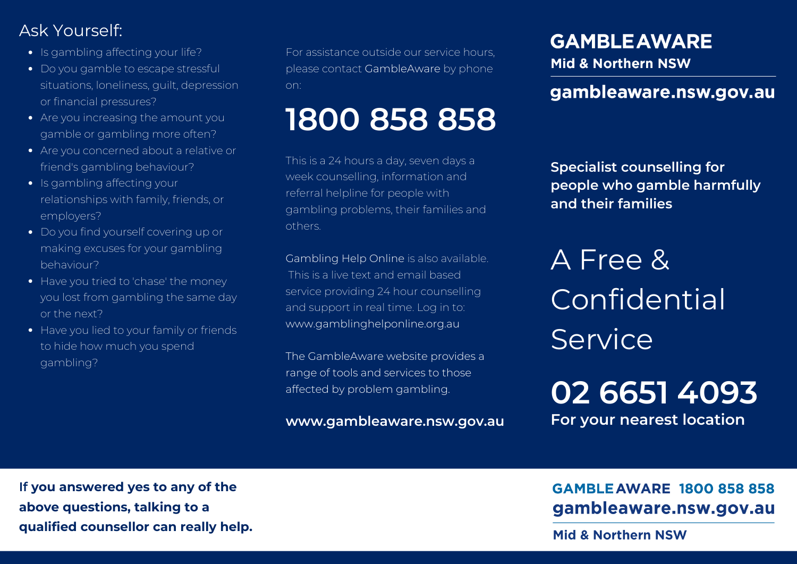## Ask Yourself:

- Is gambling affecting your life?
- Do you gamble to escape stressful situations, loneliness, guilt, depression or financial pressures?
- Are you increasing the amount you gamble or gambling more often?
- Are you concerned about a relative or friend's gambling behaviour?
- Is gambling affecting your relationships with family, friends, or employers?
- Do you find yourself covering up or making excuses for your gambling behaviour?
- Have you tried to 'chase' the money you lost from gambling the same day or the next?
- Have you lied to your family or friends to hide how much you spend gambling?

For assistance outside our service hours, please contact GambleAware by phone on:

# **1800 858 858**

This is a 24 hours a day, seven days a week counselling, information and referral helpline for people with gambling problems, their families and others.

Gambling Help Online is also available. This is a live text and email based service providing 24 hour counselling and support in real time. Log in to: www.gamblinghelponline.org.au

The GambleAware website provides a range of tools and services to those affected by problem gambling.

**www.gambleaware.nsw.gov.au**

# **GAMBLE AWARE**

Mid & Northern NSW

### gambleaware.nsw.gov.au

**Specialist counselling for people who gamble harmfully and their families**

A Free & Confidential **Service** 

**02 6651 4093 For your nearest location**

**If you answered yes to any of the above questions, talking to a qualified counsellor can really help.**

### **GAMBLE AWARE 1800 858 858** gambleaware.nsw.gov.au

**Mid & Northern NSW**